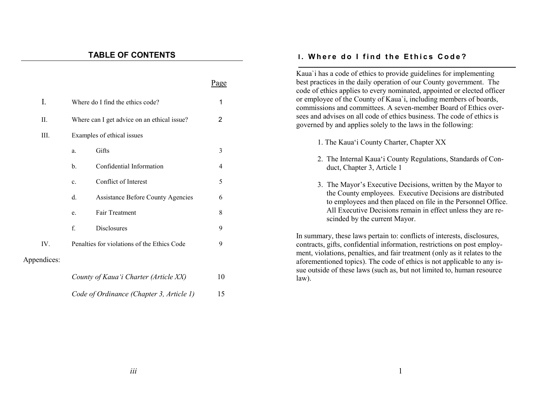# **TABLE OF CONTENTS**

|             |                                             |                                          | Page           | Kaua' i has a code of ethics to provide guidelines for implementing<br>best practices in the daily operation of our County government. The<br>code of ethics applies to every nominated, appointed or elected officer             |
|-------------|---------------------------------------------|------------------------------------------|----------------|-----------------------------------------------------------------------------------------------------------------------------------------------------------------------------------------------------------------------------------|
| I.          | Where do I find the ethics code?            |                                          | 1              | or employee of the County of Kaua'i, including members of boards,<br>commissions and committees. A seven-member Board of Ethics over-                                                                                             |
| II.         | Where can I get advice on an ethical issue? |                                          | $\overline{2}$ | sees and advises on all code of ethics business. The code of ethics is<br>governed by and applies solely to the laws in the following:                                                                                            |
| III.        |                                             | Examples of ethical issues               |                |                                                                                                                                                                                                                                   |
|             |                                             |                                          |                | 1. The Kaua'i County Charter, Chapter XX                                                                                                                                                                                          |
|             | a.                                          | Gifts                                    | $\mathfrak{Z}$ |                                                                                                                                                                                                                                   |
|             | b.                                          | Confidential Information                 | 4              | 2. The Internal Kaua'i County Regulations, Standards of Con-<br>duct, Chapter 3, Article 1                                                                                                                                        |
|             | c.                                          | Conflict of Interest                     | 5              | 3. The Mayor's Executive Decisions, written by the Mayor to                                                                                                                                                                       |
|             | d.                                          | <b>Assistance Before County Agencies</b> | 6              | the County employees. Executive Decisions are distributed<br>to employees and then placed on file in the Personnel Office.                                                                                                        |
|             | e.                                          | Fair Treatment                           | $\,8\,$        | All Executive Decisions remain in effect unless they are re-<br>scinded by the current Mayor.                                                                                                                                     |
|             | f.                                          | <b>Disclosures</b>                       | 9              |                                                                                                                                                                                                                                   |
| IV.         | Penalties for violations of the Ethics Code |                                          | 9              | In summary, these laws pertain to: conflicts of interests, disclosures,<br>contracts, gifts, confidential information, restrictions on post employ-<br>ment, violations, penalties, and fair treatment (only as it relates to the |
| Appendices: |                                             |                                          |                | aforementioned topics). The code of ethics is not applicable to any is-                                                                                                                                                           |
|             | County of Kaua'i Charter (Article XX)       |                                          | 10             | sue outside of these laws (such as, but not limited to, human resource<br>$law)$ .                                                                                                                                                |
|             | Code of Ordinance (Chapter 3, Article 1)    |                                          | 15             |                                                                                                                                                                                                                                   |

**I. Where do I find the Ethics Code?**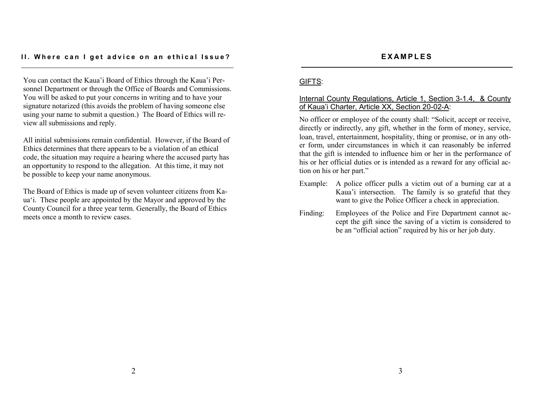#### **II.** Where can I get advice on an ethical Issue?

You can contact the Kaua'i Board of Ethics through the Kaua'i Personnel Department or through the Office of Boards and Commissions. You will be asked to put your concerns in writing and to have your signature notarized (this avoids the problem of having someone else using your name to submit a question.) The Board of Ethics will review all submissions and reply.

All initial submissions remain confidential. However, if the Board of Ethics determines that there appears to be a violation of an ethical code, the situation may require a hearing where the accused party has an opportunity to respond to the allegation. At this time, it may not be possible to keep your name anonymous.

The Board of Ethics is made up of seven volunteer citizens from Kaua'i. These people are appointed by the Mayor and approved by the County Council for a three year term. Generally, the Board of Ethics meets once a month to review cases.

# GIFTS:

### Internal County Regulations, Article 1, Section 3-1.4, & County of Kaua'i Charter, Article XX, Section 20-02-A:

No officer or employee of the county shall: "Solicit, accept or receive, directly or indirectly, any gift, whether in the form of money, service, loan, travel, entertainment, hospitality, thing or promise, or in any other form, under circumstances in which it can reasonably be inferred that the gift is intended to influence him or her in the performance of his or her official duties or is intended as a reward for any official action on his or her part."

- Example: A police officer pulls a victim out of a burning car at a Kaua'i intersection. The family is so grateful that they want to give the Police Officer a check in appreciation.
- Finding: Employees of the Police and Fire Department cannot accept the gift since the saving of a victim is considered to be an "official action" required by his or her job duty.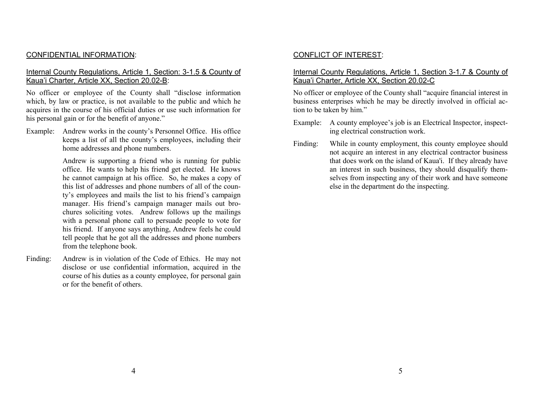### CONFIDENTIAL INFORMATION:

### Internal County Regulations, Article 1, Section: 3-1.5 & County of Kaua'i Charter, Article XX, Section 20.02-B:

No officer or employee of the County shall "disclose information which, by law or practice, is not available to the public and which he acquires in the course of his official duties or use such information for his personal gain or for the benefit of anyone."

Example: Andrew works in the county's Personnel Office. His office keeps a list of all the county's employees, including their home addresses and phone numbers.

> Andrew is supporting a friend who is running for public office. He wants to help his friend get elected. He knows he cannot campaign at his office. So, he makes a copy of this list of addresses and phone numbers of all of the county's employees and mails the list to his friend's campaign manager. His friend's campaign manager mails out brochures soliciting votes. Andrew follows up the mailings with a personal phone call to persuade people to vote for his friend. If anyone says anything, Andrew feels he could tell people that he got all the addresses and phone numbers from the telephone book.

Finding: Andrew is in violation of the Code of Ethics. He may not disclose or use confidential information, acquired in the course of his duties as a county employee, for personal gain or for the benefit of others.

### CONFLICT OF INTEREST:

### Internal County Regulations, Article 1, Section 3-1.7 & County of Kaua'i Charter, Article XX, Section 20.02-C

No officer or employee of the County shall "acquire financial interest in business enterprises which he may be directly involved in official action to be taken by him."

- Example: A county employee's job is an Electrical Inspector, inspecting electrical construction work.
- Finding: While in county employment, this county employee should not acquire an interest in any electrical contractor business that does work on the island of Kaua'i. If they already have an interest in such business, they should disqualify themselves from inspecting any of their work and have someone else in the department do the inspecting.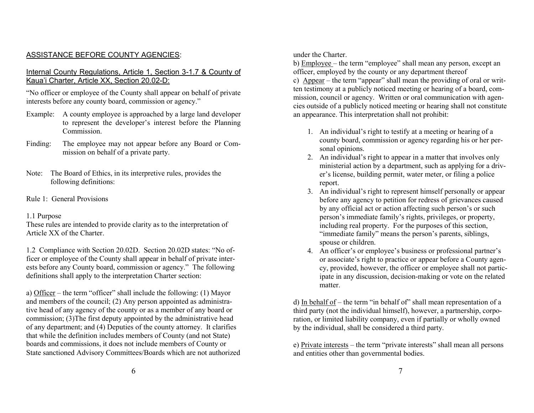# ASSISTANCE BEFORE COUNTY AGENCIES:

### Internal County Regulations, Article 1, Section 3-1.7 & County of Kaua'i Charter, Article XX, Section 20.02-D:

"No officer or employee of the County shall appear on behalf of private interests before any county board, commission or agency."

- Example: A county employee is approached by a large land developer to represent the developer's interest before the Planning **Commission**
- Finding: The employee may not appear before any Board or Commission on behalf of a private party.
- Note: The Board of Ethics, in its interpretive rules, provides the following definitions:
- Rule 1: General Provisions

### 1.1 Purpose

These rules are intended to provide clarity as to the interpretation of Article XX of the Charter.

1.2 Compliance with Section 20.02D. Section 20.02D states: "No officer or employee of the County shall appear in behalf of private interests before any County board, commission or agency." The following definitions shall apply to the interpretation Charter section:

a) Officer – the term "officer" shall include the following: (1) Mayor and members of the council; (2) Any person appointed as administrative head of any agency of the county or as a member of any board or commission; (3)The first deputy appointed by the administrative head of any department; and (4) Deputies of the county attorney. It clarifies that while the definition includes members of County (and not State) boards and commissions, it does not include members of County or State sanctioned Advisory Committees/Boards which are not authorized under the Charter.

b) Employee – the term "employee" shall mean any person, except an officer, employed by the county or any department thereof c) Appear – the term "appear" shall mean the providing of oral or written testimony at a publicly noticed meeting or hearing of a board, commission, council or agency. Written or oral communication with agencies outside of a publicly noticed meeting or hearing shall not constitute an appearance. This interpretation shall not prohibit:

- 1. An individual's right to testify at a meeting or hearing of a county board, commission or agency regarding his or her personal opinions.
- 2. An individual's right to appear in a matter that involves only ministerial action by a department, such as applying for a driver's license, building permit, water meter, or filing a police report.
- 3. An individual's right to represent himself personally or appear before any agency to petition for redress of grievances caused by any official act or action affecting such person's or such person's immediate family's rights, privileges, or property, including real property. For the purposes of this section, "immediate family" means the person's parents, siblings, spouse or children.
- 4. An officer's or employee's business or professional partner's or associate's right to practice or appear before a County agency, provided, however, the officer or employee shall not participate in any discussion, decision-making or vote on the related matter.

d) In behalf of – the term "in behalf of" shall mean representation of a third party (not the individual himself), however, a partnership, corporation, or limited liability company, even if partially or wholly owned by the individual, shall be considered a third party.

e) Private interests – the term "private interests" shall mean all persons and entities other than governmental bodies.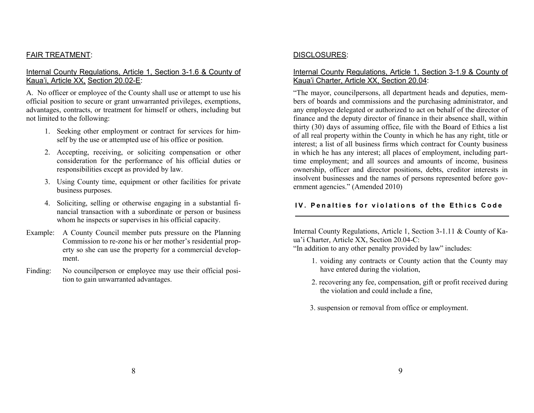# FAIR TREATMENT:

## Internal County Regulations, Article 1, Section 3-1.6 & County of Kaua'i, Article XX, Section 20.02-E:

A. No officer or employee of the County shall use or attempt to use his official position to secure or grant unwarranted privileges, exemptions, advantages, contracts, or treatment for himself or others, including but not limited to the following:

- 1. Seeking other employment or contract for services for himself by the use or attempted use of his office or position.
- 2. Accepting, receiving, or soliciting compensation or other consideration for the performance of his official duties or responsibilities except as provided by law.
- 3. Using County time, equipment or other facilities for private business purposes.
- 4. Soliciting, selling or otherwise engaging in a substantial financial transaction with a subordinate or person or business whom he inspects or supervises in his official capacity.
- Example: A County Council member puts pressure on the Planning Commission to re-zone his or her mother's residential property so she can use the property for a commercial development.
- Finding: No council person or employee may use their official position to gain unwarranted advantages.

# DISCLOSURES:

# Internal County Regulations, Article 1, Section 3-1.9 & County of Kaua'i Charter, Article XX, Section 20.04:

"The mayor, councilpersons, all department heads and deputies, members of boards and commissions and the purchasing administrator, and any employee delegated or authorized to act on behalf of the director of finance and the deputy director of finance in their absence shall, within thirty (30) days of assuming office, file with the Board of Ethics a list of all real property within the County in which he has any right, title or interest; a list of all business firms which contract for County business in which he has any interest; all places of employment, including parttime employment; and all sources and amounts of income, business ownership, officer and director positions, debts, creditor interests in insolvent businesses and the names of persons represented before government agencies." (Amended 2010)

# **IV. Penalties for violations of the Ethics Code**

Internal County Regulations, Article 1, Section 3-1.11 & County of Kaua'i Charter, Article XX, Section 20.04-C:

"In addition to any other penalty provided by law" includes:

- 1. voiding any contracts or County action that the County may have entered during the violation,
- 2. recovering any fee, compensation, gift or profit received during the violation and could include a fine,
- 3. suspension or removal from office or employment.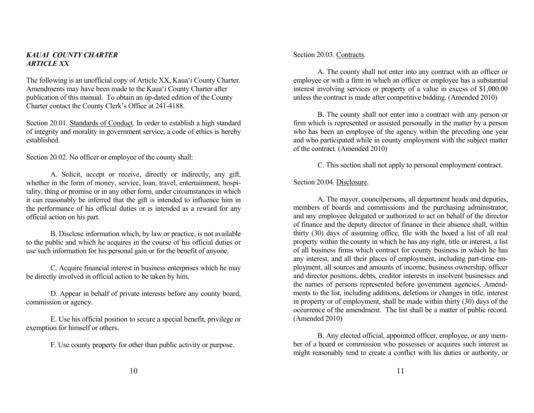#### *KAUAI COUNTY CHARTER ARTICLE XX*

The following is an unofficial copy of Article XX, Kaua'i County Charter. Amendments may have been made to the Kaua'i County Charter after publication of this manual. To obtain an up-dated edition of the County Charter contact the County Clerk's Office at 241-4188.

Section 20.01. Standards of Conduct. In order to establish a high standard of integrity and morality in government service, a code of ethics is hereby established.

Section 20.02. No officer or employee of the county shall:

A. Solicit, accept or receive, directly or indirectly, any gift, whether in the form of money, service, loan, travel, entertainment, hospitality, thing or promise or in any other form, under circumstances in which it can reasonably be inferred that the gift is intended to influence him in the performance of his official duties or is intended as a reward for any official action on his part.

B. Disclose information which, by law or practice, is not available to the public and which he acquires in the course of his official duties or use such information for his personal gain or for the benefit of anyone.

C. Acquire financial interest in business enterprises which he may be directly involved in official action to be taken by him.

D. Appear in behalf of private interests before any county board, commission or agency.

E. Use his official position to secure a special benefit, privilege or exemption for himself or others.

F. Use county property for other than public activity or purpose.

#### Section 20.03. Contracts.

A. The county shall not enter into any contract with an officer or employee or with a firm in which an officer or employee has a substantial interest involving services or property of a value in excess of \$1,000.00 unless the contract is made after competitive bidding. (Amended 2010)

B. The county shall not enter into a contract with any person or firm which is represented or assisted personally in the matter by a person who has been an employee of the agency within the preceding one year and who participated while in county employment with the subject matter of the contract. (Amended 2010)

C. This section shall not apply to personal employment contract.

#### Section 20.04. Disclosure.

A. The mayor, councilpersons, all department heads and deputies, members of boards and commissions and the purchasing administrator, and any employee delegated or authorized to act on behalf of the director of finance and the deputy director of finance in their absence shall, within thirty (30) days of assuming office, file with the board a list of all real property within the county in which he has any right, title or interest, a list of all business firms which contract for county business in which he has any interest, and all their places of employment, including part-time employment, all sources and amounts of income, business ownership, officer and director positions, debts, creditor interests in insolvent businesses and the names of persons represented before government agencies. Amendments to the list, including additions, deletions or changes in title, interest in property or of employment, shall be made within thirty (30) days of the occurrence of the amendment. The list shall be a matter of public record. (Amended 2010)

B. Any elected official, appointed officer, employee, or any member of a board or commission who possesses or acquires such interest as might reasonably tend to create a conflict with his duties or authority, or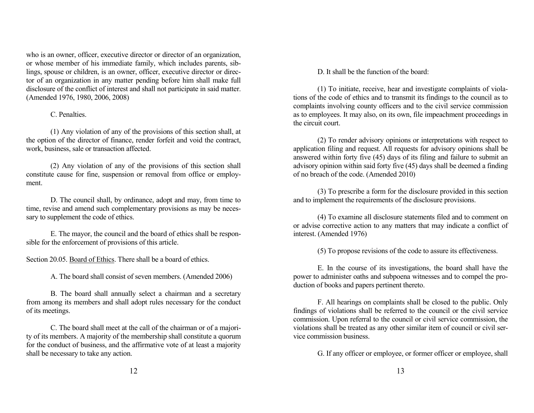who is an owner, officer, executive director or director of an organization, or whose member of his immediate family, which includes parents, siblings, spouse or children, is an owner, officer, executive director or director of an organization in any matter pending before him shall make full disclosure of the conflict of interest and shall not participate in said matter. (Amended 1976, 1980, 2006, 2008)

#### C. Penalties.

(1) Any violation of any of the provisions of this section shall, at the option of the director of finance, render forfeit and void the contract, work, business, sale or transaction affected.

(2) Any violation of any of the provisions of this section shall constitute cause for fine, suspension or removal from office or employment.

D. The council shall, by ordinance, adopt and may, from time to time, revise and amend such complementary provisions as may be necessary to supplement the code of ethics.

E. The mayor, the council and the board of ethics shall be responsible for the enforcement of provisions of this article.

Section 20.05. Board of Ethics. There shall be a board of ethics.

A. The board shall consist of seven members. (Amended 2006)

B. The board shall annually select a chairman and a secretary from among its members and shall adopt rules necessary for the conduct of its meetings.

C. The board shall meet at the call of the chairman or of a majority of its members. A majority of the membership shall constitute a quorum for the conduct of business, and the affirmative vote of at least a majority shall be necessary to take any action.

D. It shall be the function of the board:

(1) To initiate, receive, hear and investigate complaints of violations of the code of ethics and to transmit its findings to the council as to complaints involving county officers and to the civil service commission as to employees. It may also, on its own, file impeachment proceedings in the circuit court.

(2) To render advisory opinions or interpretations with respect to application filing and request. All requests for advisory opinions shall be answered within forty five (45) days of its filing and failure to submit an advisory opinion within said forty five (45) days shall be deemed a finding of no breach of the code. (Amended 2010)

(3) To prescribe a form for the disclosure provided in this section and to implement the requirements of the disclosure provisions.

(4) To examine all disclosure statements filed and to comment on or advise corrective action to any matters that may indicate a conflict of interest. (Amended 1976)

(5) To propose revisions of the code to assure its effectiveness.

E. In the course of its investigations, the board shall have the power to administer oaths and subpoena witnesses and to compel the production of books and papers pertinent thereto.

F. All hearings on complaints shall be closed to the public. Only findings of violations shall be referred to the council or the civil service commission. Upon referral to the council or civil service commission, the violations shall be treated as any other similar item of council or civil service commission business.

G. If any officer or employee, or former officer or employee, shall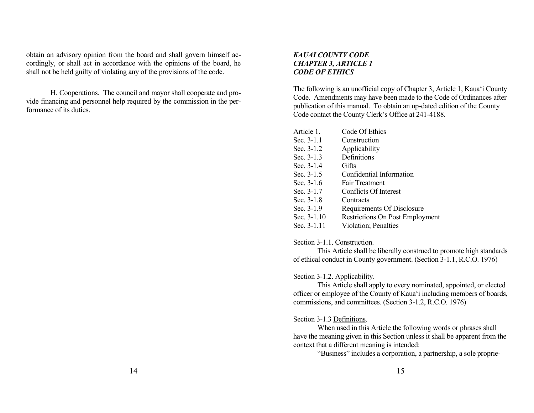obtain an advisory opinion from the board and shall govern himself accordingly, or shall act in accordance with the opinions of the board, he shall not be held guilty of violating any of the provisions of the code.

H. Cooperations. The council and mayor shall cooperate and provide financing and personnel help required by the commission in the performance of its duties.

### *KAUAI COUNTY CODE CHAPTER 3, ARTICLE 1 CODE OF ETHICS*

The following is an unofficial copy of Chapter 3, Article 1, Kaua'i County Code. Amendments may have been made to the Code of Ordinances after publication of this manual. To obtain an up-dated edition of the County Code contact the County Clerk's Office at 241-4188.

| Article 1    | Code Of Ethics                         |
|--------------|----------------------------------------|
| Sec. 3-1.1   | Construction                           |
| Sec. 3-1.2   | Applicability                          |
| Sec. $3-1.3$ | Definitions                            |
| Sec. 3-1.4   | Gifts                                  |
| Sec. 3-1.5   | Confidential Information               |
| Sec. $3-1.6$ | <b>Fair Treatment</b>                  |
| Sec. 3-1.7   | Conflicts Of Interest                  |
| Sec. $3-1.8$ | Contracts                              |
| Sec. $3-1.9$ | Requirements Of Disclosure             |
| Sec. 3-1.10  | <b>Restrictions On Post Employment</b> |
| Sec. 3-1.11  | Violation; Penalties                   |

Section 3-1.1. Construction.

This Article shall be liberally construed to promote high standards of ethical conduct in County government. (Section 3-1.1, R.C.O. 1976)

# Section 3-1.2. Applicability.

This Article shall apply to every nominated, appointed, or elected officer or employee of the County of Kaua'i including members of boards, commissions, and committees. (Section 3-1.2, R.C.O. 1976)

# Section 3-1.3 Definitions.

When used in this Article the following words or phrases shall have the meaning given in this Section unless it shall be apparent from the context that a different meaning is intended:

"Business" includes a corporation, a partnership, a sole proprie-

14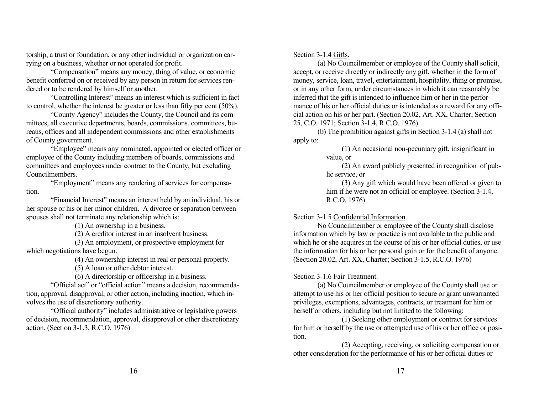torship, a trust or foundation, or any other individual or organization carrying on a business, whether or not operated for profit.

"Compensation" means any money, thing of value, or economic benefit conferred on or received by any person in return for services rendered or to be rendered by himself or another.

"Controlling Interest" means an interest which is sufficient in fact to control, whether the interest be greater or less than fifty per cent (50%).

"County Agency" includes the County, the Council and its committees, all executive departments, boards, commissions, committees, bureaus, offices and all independent commissions and other establishments of County government.

"Employee" means any nominated, appointed or elected officer or employee of the County including members of boards, commissions and committees and employees under contract to the County, but excluding Councilmembers.

"Employment" means any rendering of services for compensation.

"Financial Interest" means an interest held by an individual, his or her spouse or his or her minor children. A divorce or separation between spouses shall not terminate any relationship which is:

(1) An ownership in a business.

(2) A creditor interest in an insolvent business.

(3) An employment, or prospective employment for which negotiations have begun.

(4) An ownership interest in real or personal property.

(5) A loan or other debtor interest.

(6) A directorship or officership in a business.

"Official act" or "official action" means a decision, recommendation, approval, disapproval, or other action, including inaction, which involves the use of discretionary authority.

"Official authority" includes administrative or legislative powers of decision, recommendation, approval, disapproval or other discretionary action. (Section 3-1.3, R.C.O. 1976)

Section 3-1.4 Gifts.

(a) No Councilmember or employee of the County shall solicit, accept, or receive directly or indirectly any gift, whether in the form of money, service, loan, travel, entertainment, hospitality, thing or promise, or in any other form, under circumstances in which it can reasonably be inferred that the gift is intended to influence him or her in the performance of his or her official duties or is intended as a reward for any official action on his or her part. (Section 20.02, Art. XX, Charter; Section 25, C.O. 1971; Section 3-1.4, R.C.O. 1976)

(b) The prohibition against gifts in Section 3-1.4 (a) shall not apply to:

(1) An occasional non-pecuniary gift, insignificant in value, or

(2) An award publicly presented in recognition of public service, or

(3) Any gift which would have been offered or given to him if he were not an official or employee. (Section 3-1.4, R.C.O. 1976)

### Section 3-1.5 Confidential Information.

No Councilmember or employee of the County shall disclose information which by law or practice is not available to the public and which he or she acquires in the course of his or her official duties, or use the information for his or her personal gain or for the benefit of anyone. (Section 20.02, Art. XX, Charter; Section 3-1.5, R.C.O. 1976)

# Section 3-1.6 Fair Treatment.

(a) No Councilmember or employee of the County shall use or attempt to use his or her official position to secure or grant unwarranted privileges, exemptions, advantages, contracts, or treatment for him or herself or others, including but not limited to the following:

(1) Seeking other employment or contract for services for him or herself by the use or attempted use of his or her office or position.

(2) Accepting, receiving, or soliciting compensation or other consideration for the performance of his or her official duties or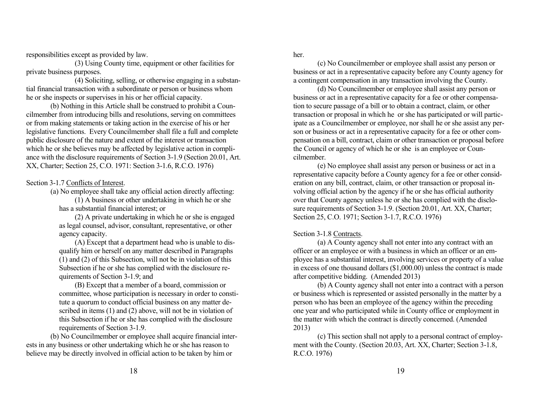responsibilities except as provided by law.

(3) Using County time, equipment or other facilities for private business purposes.

(4) Soliciting, selling, or otherwise engaging in a substantial financial transaction with a subordinate or person or business whom he or she inspects or supervises in his or her official capacity.

(b) Nothing in this Article shall be construed to prohibit a Councilmember from introducing bills and resolutions, serving on committees or from making statements or taking action in the exercise of his or her legislative functions. Every Councilmember shall file a full and complete public disclosure of the nature and extent of the interest or transaction which he or she believes may be affected by legislative action in compliance with the disclosure requirements of Section 3-1.9 (Section 20.01, Art. XX, Charter; Section 25, C.O. 1971: Section 3-1.6, R.C.O. 1976)

Section 3-1.7 Conflicts of Interest.

(a) No employee shall take any official action directly affecting: (1) A business or other undertaking in which he or she has a substantial financial interest; or

(2) A private undertaking in which he or she is engaged as legal counsel, advisor, consultant, representative, or other agency capacity.

(A) Except that a department head who is unable to disqualify him or herself on any matter described in Paragraphs (1) and (2) of this Subsection, will not be in violation of this Subsection if he or she has complied with the disclosure requirements of Section 3-1.9; and

(B) Except that a member of a board, commission or committee, whose participation is necessary in order to constitute a quorum to conduct official business on any matter described in items (1) and (2) above, will not be in violation of this Subsection if he or she has complied with the disclosure requirements of Section 3-1.9.

(b) No Councilmember or employee shall acquire financial interests in any business or other undertaking which he or she has reason to believe may be directly involved in official action to be taken by him or

her.

(c) No Councilmember or employee shall assist any person or business or act in a representative capacity before any County agency for a contingent compensation in any transaction involving the County.

(d) No Councilmember or employee shall assist any person or business or act in a representative capacity for a fee or other compensation to secure passage of a bill or to obtain a contract, claim, or other transaction or proposal in which he or she has participated or will participate as a Councilmember or employee, nor shall he or she assist any person or business or act in a representative capacity for a fee or other compensation on a bill, contract, claim or other transaction or proposal before the Council or agency of which he or she is an employee or Councilmember.

(e) No employee shall assist any person or business or act in a representative capacity before a County agency for a fee or other consideration on any bill, contract, claim, or other transaction or proposal involving official action by the agency if he or she has official authority over that County agency unless he or she has complied with the disclosure requirements of Section 3-1.9. (Section 20.01, Art. XX, Charter; Section 25, C.O. 1971; Section 3-1.7, R.C.O. 1976)

Section 3-1.8 Contracts.

(a) A County agency shall not enter into any contract with an officer or an employee or with a business in which an officer or an employee has a substantial interest, involving services or property of a value in excess of one thousand dollars (\$1,000.00) unless the contract is made after competitive bidding. (Amended 2013)

(b) A County agency shall not enter into a contract with a person or business which is represented or assisted personally in the matter by a person who has been an employee of the agency within the preceding one year and who participated while in County office or employment in the matter with which the contract is directly concerned. (Amended 2013)

(c) This section shall not apply to a personal contract of employment with the County. (Section 20.03, Art. XX, Charter; Section 3-1.8, R.C.O. 1976)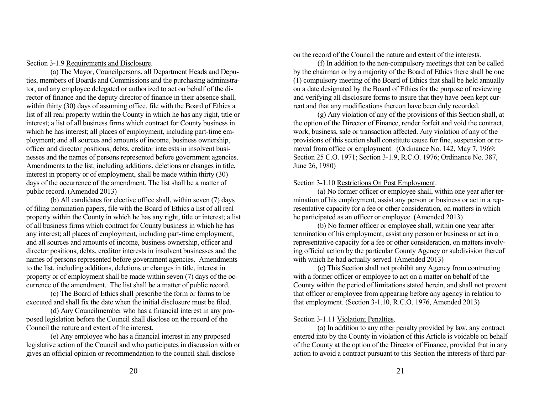Section 3-1.9 Requirements and Disclosure.

(a) The Mayor, Councilpersons, all Department Heads and Deputies, members of Boards and Commissions and the purchasing administrator, and any employee delegated or authorized to act on behalf of the director of finance and the deputy director of finance in their absence shall, within thirty (30) days of assuming office, file with the Board of Ethics a list of all real property within the County in which he has any right, title or interest; a list of all business firms which contract for County business in which he has interest; all places of employment, including part-time employment; and all sources and amounts of income, business ownership, officer and director positions, debts, creditor interests in insolvent businesses and the names of persons represented before government agencies. Amendments to the list, including additions, deletions or changes in title, interest in property or of employment, shall be made within thirty (30) days of the occurrence of the amendment. The list shall be a matter of public record. (Amended 2013)

(b) All candidates for elective office shall, within seven (7) days of filing nomination papers, file with the Board of Ethics a list of all real property within the County in which he has any right, title or interest; a list of all business firms which contract for County business in which he has any interest; all places of employment, including part-time employment; and all sources and amounts of income, business ownership, officer and director positions, debts, creditor interests in insolvent businesses and the names of persons represented before government agencies. Amendments to the list, including additions, deletions or changes in title, interest in property or of employment shall be made within seven (7) days of the occurrence of the amendment. The list shall be a matter of public record.

(c) The Board of Ethics shall prescribe the form or forms to be executed and shall fix the date when the initial disclosure must be filed.

(d) Any Councilmember who has a financial interest in any proposed legislation before the Council shall disclose on the record of the Council the nature and extent of the interest.

(e) Any employee who has a financial interest in any proposed legislative action of the Council and who participates in discussion with or gives an official opinion or recommendation to the council shall disclose

on the record of the Council the nature and extent of the interests.

(f) In addition to the non-compulsory meetings that can be called by the chairman or by a majority of the Board of Ethics there shall be one (1) compulsory meeting of the Board of Ethics that shall be held annually on a date designated by the Board of Ethics for the purpose of reviewing and verifying all disclosure forms to insure that they have been kept current and that any modifications thereon have been duly recorded.

(g) Any violation of any of the provisions of this Section shall, at the option of the Director of Finance, render forfeit and void the contract, work, business, sale or transaction affected. Any violation of any of the provisions of this section shall constitute cause for fine, suspension or removal from office or employment. (Ordinance No. 142, May 7, 1969; Section 25 C.O. 1971; Section 3-1.9, R.C.O. 1976; Ordinance No. 387, June 26, 1980)

#### Section 3-1.10 Restrictions On Post Employment.

(a) No former officer or employee shall, within one year after termination of his employment, assist any person or business or act in a representative capacity for a fee or other consideration, on matters in which he participated as an officer or employee. (Amended 2013)

(b) No former officer or employee shall, within one year after termination of his employment, assist any person or business or act in a representative capacity for a fee or other consideration, on matters involving official action by the particular County Agency or subdivision thereof with which he had actually served. (Amended 2013)

(c) This Section shall not prohibit any Agency from contracting with a former officer or employee to act on a matter on behalf of the County within the period of limitations stated herein, and shall not prevent that officer or employee from appearing before any agency in relation to that employment. (Section 3-1.10, R.C.O. 1976, Amended 2013)

# Section 3-1.11 Violation; Penalties.

(a) In addition to any other penalty provided by law, any contract entered into by the County in violation of this Article is voidable on behalf of the County at the option of the Director of Finance, provided that in any action to avoid a contract pursuant to this Section the interests of third par